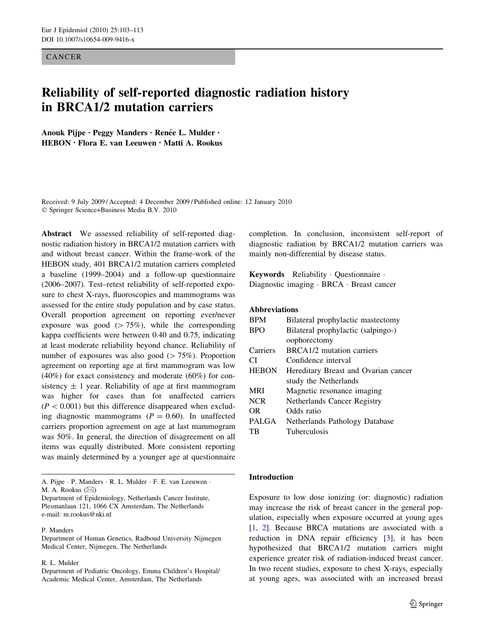## CANCER

# Reliability of self-reported diagnostic radiation history in BRCA1/2 mutation carriers

Anouk Pijpe · Peggy Manders · Renée L. Mulder · HEBON • Flora E. van Leeuwen • Matti A. Rookus

Received: 9 July 2009 / Accepted: 4 December 2009 / Published online: 12 January 2010 Springer Science+Business Media B.V. 2010

Abstract We assessed reliability of self-reported diagnostic radiation history in BRCA1/2 mutation carriers with and without breast cancer. Within the frame-work of the HEBON study, 401 BRCA1/2 mutation carriers completed a baseline (1999–2004) and a follow-up questionnaire (2006–2007). Test–retest reliability of self-reported exposure to chest X-rays, fluoroscopies and mammograms was assessed for the entire study population and by case status. Overall proportion agreement on reporting ever/never exposure was good  $(>75\%)$ , while the corresponding kappa coefficients were between 0.40 and 0.75, indicating at least moderate reliability beyond chance. Reliability of number of exposures was also good  $(>75%)$ . Proportion agreement on reporting age at first mammogram was low (40%) for exact consistency and moderate (60%) for consistency  $\pm$  1 year. Reliability of age at first mammogram was higher for cases than for unaffected carriers  $(P<0.001)$  but this difference disappeared when excluding diagnostic mammograms  $(P = 0.60)$ . In unaffected carriers proportion agreement on age at last mammogram was 50%. In general, the direction of disagreement on all items was equally distributed. More consistent reporting was mainly determined by a younger age at questionnaire

#### P. Manders

Department of Human Genetics, Radboud University Nijmegen Medical Center, Nijmegen, The Netherlands

#### R. L. Mulder

Department of Pediatric Oncology, Emma Children's Hospital/ Academic Medical Center, Amsterdam, The Netherlands

completion. In conclusion, inconsistent self-report of diagnostic radiation by BRCA1/2 mutation carriers was mainly non-differential by disease status.

Keywords Reliability Questionnaire Diagnostic imaging · BRCA · Breast cancer

## Abbreviations

| <b>BPM</b>   | Bilateral prophylactic mastectomy    |
|--------------|--------------------------------------|
| <b>BPO</b>   | Bilateral prophylactic (salpingo-)   |
|              | oophorectomy                         |
| Carriers     | BRCA1/2 mutation carriers            |
| CI           | Confidence interval                  |
| <b>HEBON</b> | Hereditary Breast and Ovarian cancer |
|              | study the Netherlands                |
| <b>MRI</b>   | Magnetic resonance imaging           |
| <b>NCR</b>   | Netherlands Cancer Registry          |
| OR.          | Odds ratio                           |
| <b>PALGA</b> | Netherlands Pathology Database       |
| TВ           | Tuberculosis                         |

## Introduction

Exposure to low dose ionizing (or: diagnostic) radiation may increase the risk of breast cancer in the general population, especially when exposure occurred at young ages [\[1](#page-9-0), [2](#page-9-0)]. Because BRCA mutations are associated with a reduction in DNA repair efficiency [[3\]](#page-9-0), it has been hypothesized that BRCA1/2 mutation carriers might experience greater risk of radiation-induced breast cancer. In two recent studies, exposure to chest X-rays, especially at young ages, was associated with an increased breast

A. Pijpe · P. Manders · R. L. Mulder · F. E. van Leeuwen · M. A. Rookus  $(\boxtimes)$ 

Department of Epidemiology, Netherlands Cancer Institute, Plesmanlaan 121, 1066 CX Amsterdam, The Netherlands e-mail: m.rookus@nki.nl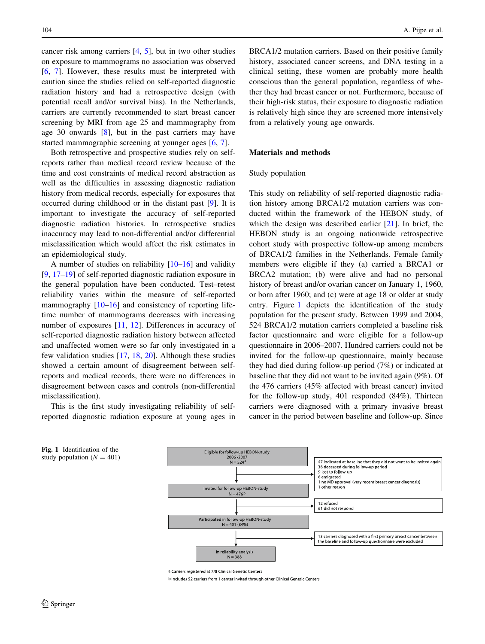cancer risk among carriers [\[4](#page-9-0), [5](#page-9-0)], but in two other studies on exposure to mammograms no association was observed [\[6](#page-9-0), [7\]](#page-9-0). However, these results must be interpreted with caution since the studies relied on self-reported diagnostic radiation history and had a retrospective design (with potential recall and/or survival bias). In the Netherlands, carriers are currently recommended to start breast cancer screening by MRI from age 25 and mammography from age 30 onwards  $[8]$  $[8]$ , but in the past carriers may have started mammographic screening at younger ages [\[6](#page-9-0), [7\]](#page-9-0).

Both retrospective and prospective studies rely on selfreports rather than medical record review because of the time and cost constraints of medical record abstraction as well as the difficulties in assessing diagnostic radiation history from medical records, especially for exposures that occurred during childhood or in the distant past [[9\]](#page-9-0). It is important to investigate the accuracy of self-reported diagnostic radiation histories. In retrospective studies inaccuracy may lead to non-differential and/or differential misclassification which would affect the risk estimates in an epidemiological study.

A number of studies on reliability [[10–](#page-9-0)[16\]](#page-10-0) and validity [\[9](#page-9-0), [17–19](#page-10-0)] of self-reported diagnostic radiation exposure in the general population have been conducted. Test–retest reliability varies within the measure of self-reported mammography  $[10-16]$  $[10-16]$  and consistency of reporting lifetime number of mammograms decreases with increasing number of exposures [\[11](#page-9-0), [12](#page-10-0)]. Differences in accuracy of self-reported diagnostic radiation history between affected and unaffected women were so far only investigated in a few validation studies  $[17, 18, 20]$  $[17, 18, 20]$  $[17, 18, 20]$  $[17, 18, 20]$  $[17, 18, 20]$  $[17, 18, 20]$ . Although these studies showed a certain amount of disagreement between selfreports and medical records, there were no differences in disagreement between cases and controls (non-differential misclassification).

This is the first study investigating reliability of selfreported diagnostic radiation exposure at young ages in BRCA1/2 mutation carriers. Based on their positive family history, associated cancer screens, and DNA testing in a clinical setting, these women are probably more health conscious than the general population, regardless of whether they had breast cancer or not. Furthermore, because of their high-risk status, their exposure to diagnostic radiation is relatively high since they are screened more intensively from a relatively young age onwards.

## Materials and methods

#### Study population

This study on reliability of self-reported diagnostic radiation history among BRCA1/2 mutation carriers was conducted within the framework of the HEBON study, of which the design was described earlier [[21\]](#page-10-0). In brief, the HEBON study is an ongoing nationwide retrospective cohort study with prospective follow-up among members of BRCA1/2 families in the Netherlands. Female family members were eligible if they (a) carried a BRCA1 or BRCA2 mutation; (b) were alive and had no personal history of breast and/or ovarian cancer on January 1, 1960, or born after 1960; and (c) were at age 18 or older at study entry. Figure 1 depicts the identification of the study population for the present study. Between 1999 and 2004, 524 BRCA1/2 mutation carriers completed a baseline risk factor questionnaire and were eligible for a follow-up questionnaire in 2006–2007. Hundred carriers could not be invited for the follow-up questionnaire, mainly because they had died during follow-up period (7%) or indicated at baseline that they did not want to be invited again (9%). Of the 476 carriers (45% affected with breast cancer) invited for the follow-up study, 401 responded (84%). Thirteen carriers were diagnosed with a primary invasive breast cancer in the period between baseline and follow-up. Since



a Carriers registered at 7/8 Clinical Genetic Centers

b Includes 52 carriers from 1 center invited through other Clinical Genetic Centers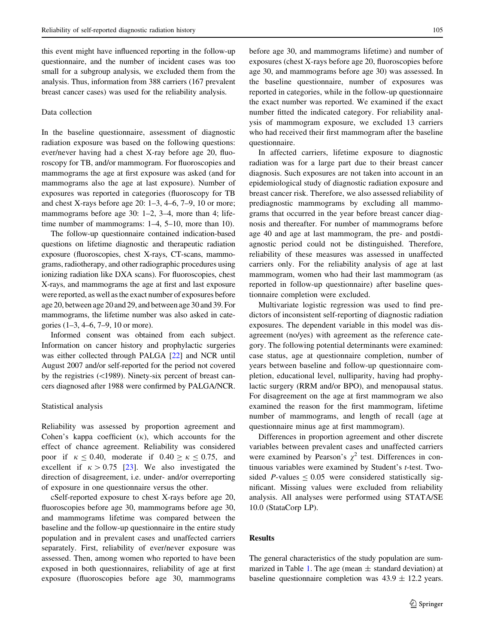this event might have influenced reporting in the follow-up questionnaire, and the number of incident cases was too small for a subgroup analysis, we excluded them from the analysis. Thus, information from 388 carriers (167 prevalent breast cancer cases) was used for the reliability analysis.

## Data collection

In the baseline questionnaire, assessment of diagnostic radiation exposure was based on the following questions: ever/never having had a chest X-ray before age 20, fluoroscopy for TB, and/or mammogram. For fluoroscopies and mammograms the age at first exposure was asked (and for mammograms also the age at last exposure). Number of exposures was reported in categories (fluoroscopy for TB and chest X-rays before age 20: 1–3, 4–6, 7–9, 10 or more; mammograms before age 30: 1–2, 3–4, more than 4; lifetime number of mammograms: 1–4, 5–10, more than 10).

The follow-up questionnaire contained indication-based questions on lifetime diagnostic and therapeutic radiation exposure (fluoroscopies, chest X-rays, CT-scans, mammograms, radiotherapy, and other radiographic procedures using ionizing radiation like DXA scans). For fluoroscopies, chest X-rays, and mammograms the age at first and last exposure were reported, as well as the exact number of exposures before age 20, between age 20 and 29, and between age 30 and 39. For mammograms, the lifetime number was also asked in categories (1–3, 4–6, 7–9, 10 or more).

Informed consent was obtained from each subject. Information on cancer history and prophylactic surgeries was either collected through PALGA [\[22\]](#page-10-0) and NCR until August 2007 and/or self-reported for the period not covered by the registries  $(\langle 1989 \rangle)$ . Ninety-six percent of breast cancers diagnosed after 1988 were confirmed by PALGA/NCR.

#### Statistical analysis

Reliability was assessed by proportion agreement and Cohen's kappa coefficient  $(k)$ , which accounts for the effect of chance agreement. Reliability was considered poor if  $\kappa < 0.40$ , moderate if  $0.40 > \kappa < 0.75$ , and excellent if  $\kappa > 0.75$  [\[23](#page-10-0)]. We also investigated the direction of disagreement, i.e. under- and/or overreporting of exposure in one questionnaire versus the other.

cSelf-reported exposure to chest X-rays before age 20, fluoroscopies before age 30, mammograms before age 30, and mammograms lifetime was compared between the baseline and the follow-up questionnaire in the entire study population and in prevalent cases and unaffected carriers separately. First, reliability of ever/never exposure was assessed. Then, among women who reported to have been exposed in both questionnaires, reliability of age at first exposure (fluoroscopies before age 30, mammograms before age 30, and mammograms lifetime) and number of exposures (chest X-rays before age 20, fluoroscopies before age 30, and mammograms before age 30) was assessed. In the baseline questionnaire, number of exposures was reported in categories, while in the follow-up questionnaire the exact number was reported. We examined if the exact number fitted the indicated category. For reliability analysis of mammogram exposure, we excluded 13 carriers who had received their first mammogram after the baseline questionnaire.

In affected carriers, lifetime exposure to diagnostic radiation was for a large part due to their breast cancer diagnosis. Such exposures are not taken into account in an epidemiological study of diagnostic radiation exposure and breast cancer risk. Therefore, we also assessed reliability of prediagnostic mammograms by excluding all mammograms that occurred in the year before breast cancer diagnosis and thereafter. For number of mammograms before age 40 and age at last mammogram, the pre- and postdiagnostic period could not be distinguished. Therefore, reliability of these measures was assessed in unaffected carriers only. For the reliability analysis of age at last mammogram, women who had their last mammogram (as reported in follow-up questionnaire) after baseline questionnaire completion were excluded.

Multivariate logistic regression was used to find predictors of inconsistent self-reporting of diagnostic radiation exposures. The dependent variable in this model was disagreement (no/yes) with agreement as the reference category. The following potential determinants were examined: case status, age at questionnaire completion, number of years between baseline and follow-up questionnaire completion, educational level, nulliparity, having had prophylactic surgery (RRM and/or BPO), and menopausal status. For disagreement on the age at first mammogram we also examined the reason for the first mammogram, lifetime number of mammograms, and length of recall (age at questionnaire minus age at first mammogram).

Differences in proportion agreement and other discrete variables between prevalent cases and unaffected carriers were examined by Pearson's  $\chi^2$  test. Differences in continuous variables were examined by Student's t-test. Twosided P-values  $\leq 0.05$  were considered statistically significant. Missing values were excluded from reliability analysis. All analyses were performed using STATA/SE 10.0 (StataCorp LP).

## Results

The general characteristics of the study population are sum-marized in Table [1](#page-3-0). The age (mean  $\pm$  standard deviation) at baseline questionnaire completion was  $43.9 \pm 12.2$  years.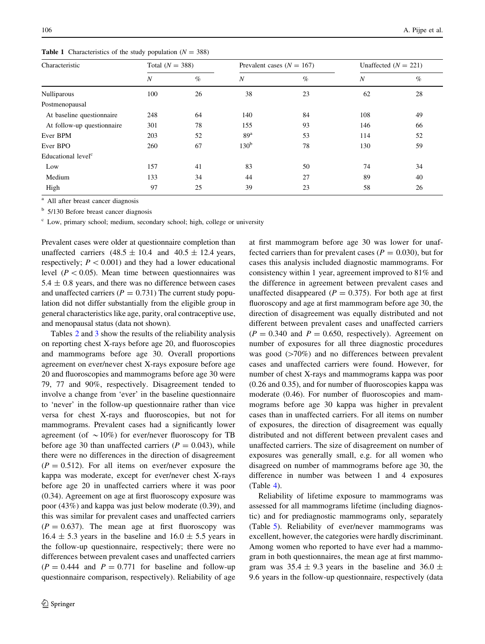<span id="page-3-0"></span>106 A. Pijpe et al.

| Characteristic                 | Total $(N = 388)$ |      | Prevalent cases ( $N = 167$ ) |      | Unaffected $(N = 221)$ |      |
|--------------------------------|-------------------|------|-------------------------------|------|------------------------|------|
|                                | N                 | $\%$ | $\boldsymbol{N}$              | $\%$ | $\boldsymbol{N}$       | $\%$ |
| <b>Nulliparous</b>             | 100               | 26   | 38                            | 23   | 62                     | 28   |
| Postmenopausal                 |                   |      |                               |      |                        |      |
| At baseline questionnaire      | 248               | 64   | 140                           | 84   | 108                    | 49   |
| At follow-up questionnaire     | 301               | 78   | 155                           | 93   | 146                    | 66   |
| Ever BPM                       | 203               | 52   | 89 <sup>a</sup>               | 53   | 114                    | 52   |
| Ever BPO                       | 260               | 67   | 130 <sup>b</sup>              | 78   | 130                    | 59   |
| Educational level <sup>c</sup> |                   |      |                               |      |                        |      |
| Low                            | 157               | 41   | 83                            | 50   | 74                     | 34   |
| Medium                         | 133               | 34   | 44                            | 27   | 89                     | 40   |
| High                           | 97                | 25   | 39                            | 23   | 58                     | 26   |

**Table 1** Characteristics of the study population ( $N = 388$ )

<sup>a</sup> All after breast cancer diagnosis

<sup>b</sup> 5/130 Before breast cancer diagnosis

<sup>c</sup> Low, primary school; medium, secondary school; high, college or university

Prevalent cases were older at questionnaire completion than unaffected carriers  $(48.5 \pm 10.4 \text{ and } 40.5 \pm 12.4 \text{ years},$ respectively;  $P \leq 0.001$ ) and they had a lower educational level ( $P < 0.05$ ). Mean time between questionnaires was  $5.4 \pm 0.8$  years, and there was no difference between cases and unaffected carriers ( $P = 0.731$ ) The current study population did not differ substantially from the eligible group in general characteristics like age, parity, oral contraceptive use, and menopausal status (data not shown).

Tables [2](#page-4-0) and [3](#page-5-0) show the results of the reliability analysis on reporting chest X-rays before age 20, and fluoroscopies and mammograms before age 30. Overall proportions agreement on ever/never chest X-rays exposure before age 20 and fluoroscopies and mammograms before age 30 were 79, 77 and 90%, respectively. Disagreement tended to involve a change from 'ever' in the baseline questionnaire to 'never' in the follow-up questionnaire rather than vice versa for chest X-rays and fluoroscopies, but not for mammograms. Prevalent cases had a significantly lower agreement (of  $\sim 10\%$ ) for ever/never fluoroscopy for TB before age 30 than unaffected carriers ( $P = 0.043$ ), while there were no differences in the direction of disagreement  $(P = 0.512)$ . For all items on ever/never exposure the kappa was moderate, except for ever/never chest X-rays before age 20 in unaffected carriers where it was poor (0.34). Agreement on age at first fluoroscopy exposure was poor (43%) and kappa was just below moderate (0.39), and this was similar for prevalent cases and unaffected carriers  $(P = 0.637)$ . The mean age at first fluoroscopy was  $16.4 \pm 5.3$  years in the baseline and  $16.0 \pm 5.5$  years in the follow-up questionnaire, respectively; there were no differences between prevalent cases and unaffected carriers  $(P = 0.444$  and  $P = 0.771$  for baseline and follow-up questionnaire comparison, respectively). Reliability of age at first mammogram before age 30 was lower for unaffected carriers than for prevalent cases ( $P = 0.030$ ), but for cases this analysis included diagnostic mammograms. For consistency within 1 year, agreement improved to 81% and the difference in agreement between prevalent cases and unaffected disappeared ( $P = 0.375$ ). For both age at first fluoroscopy and age at first mammogram before age 30, the direction of disagreement was equally distributed and not different between prevalent cases and unaffected carriers  $(P = 0.340$  and  $P = 0.650$ , respectively). Agreement on number of exposures for all three diagnostic procedures was good  $(>=70\%)$  and no differences between prevalent cases and unaffected carriers were found. However, for number of chest X-rays and mammograms kappa was poor (0.26 and 0.35), and for number of fluoroscopies kappa was moderate (0.46). For number of fluoroscopies and mammograms before age 30 kappa was higher in prevalent cases than in unaffected carriers. For all items on number of exposures, the direction of disagreement was equally distributed and not different between prevalent cases and unaffected carriers. The size of disagreement on number of exposures was generally small, e.g. for all women who disagreed on number of mammograms before age 30, the difference in number was between 1 and 4 exposures (Table [4\)](#page-5-0).

Reliability of lifetime exposure to mammograms was assessed for all mammograms lifetime (including diagnostic) and for prediagnostic mammograms only, separately (Table [5\)](#page-6-0). Reliability of ever/never mammograms was excellent, however, the categories were hardly discriminant. Among women who reported to have ever had a mammogram in both questionnaires, the mean age at first mammogram was  $35.4 \pm 9.3$  years in the baseline and  $36.0 \pm$ 9.6 years in the follow-up questionnaire, respectively (data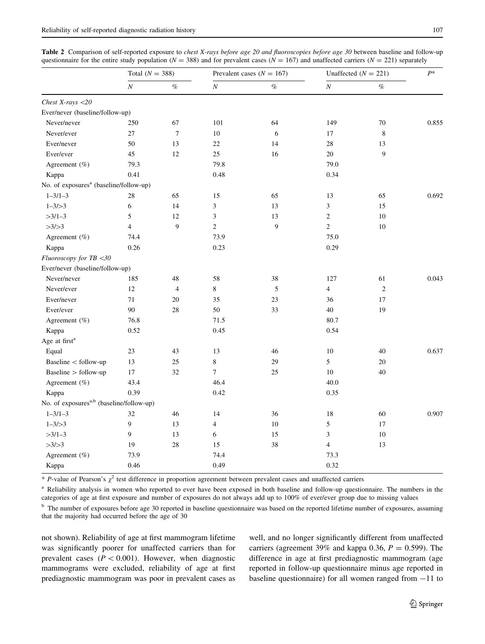<span id="page-4-0"></span>

| <b>Table 2</b> Comparison of self-reported exposure to <i>chest X-rays before age 20 and fluoroscopies before age 30</i> between baseline and follow-up |  |  |  |  |  |  |
|---------------------------------------------------------------------------------------------------------------------------------------------------------|--|--|--|--|--|--|
| questionnaire for the entire study population ( $N = 388$ ) and for prevalent cases ( $N = 167$ ) and unaffected carriers ( $N = 221$ ) separately      |  |  |  |  |  |  |

|                                                      | Total $(N = 388)$ |                  |                  | Prevalent cases ( $N = 167$ ) | Unaffected $(N = 221)$ | $P^*$          |       |
|------------------------------------------------------|-------------------|------------------|------------------|-------------------------------|------------------------|----------------|-------|
|                                                      | $\cal N$          | $\%$             | $\cal N$         | $\%$                          | $\boldsymbol{N}$       | $\%$           |       |
| Chest X-rays $<$ 20                                  |                   |                  |                  |                               |                        |                |       |
| Ever/never (baseline/follow-up)                      |                   |                  |                  |                               |                        |                |       |
| Never/never                                          | 250               | 67               | 101              | 64                            | 149                    | 70             | 0.855 |
| Never/ever                                           | 27                | $\boldsymbol{7}$ | 10               | 6                             | 17                     | 8              |       |
| Ever/never                                           | 50                | 13               | $22\,$           | 14                            | 28                     | 13             |       |
| Ever/ever                                            | 45                | 12               | 25               | 16                            | 20                     | 9              |       |
| Agreement (%)                                        | 79.3              |                  | 79.8             |                               | 79.0                   |                |       |
| Kappa                                                | 0.41              |                  | 0.48             |                               | 0.34                   |                |       |
| No. of exposures <sup>a</sup> (baseline/follow-up)   |                   |                  |                  |                               |                        |                |       |
| $1 - 3/1 - 3$                                        | 28                | 65               | 15               | 65                            | 13                     | 65             | 0.692 |
| $1 - 3/ > 3$                                         | 6                 | 14               | $\mathfrak{Z}$   | 13                            | $\overline{3}$         | 15             |       |
| $>3/1-3$                                             | 5                 | 12               | $\mathfrak{Z}$   | 13                            | $\overline{c}$         | 10             |       |
| >3/>3                                                | $\overline{4}$    | 9                | $\sqrt{2}$       | 9                             | $\overline{2}$         | 10             |       |
| Agreement (%)                                        | 74.4              |                  | 73.9             |                               | 75.0                   |                |       |
| Kappa                                                | 0.26              |                  | 0.23             |                               | 0.29                   |                |       |
| Fluoroscopy for TB <30                               |                   |                  |                  |                               |                        |                |       |
| Ever/never (baseline/follow-up)                      |                   |                  |                  |                               |                        |                |       |
| Never/never                                          | 185               | 48               | 58               | 38                            | 127                    | 61             | 0.043 |
| Never/ever                                           | 12                | $\overline{4}$   | 8                | 5                             | $\overline{4}$         | $\mathfrak{2}$ |       |
| Ever/never                                           | 71                | 20               | 35               | 23                            | 36                     | 17             |       |
| Ever/ever                                            | 90                | 28               | 50               | 33                            | 40                     | 19             |       |
| Agreement (%)                                        | 76.8              |                  | 71.5             |                               | 80.7                   |                |       |
| Kappa                                                | 0.52              |                  | 0.45             |                               | 0.54                   |                |       |
| Age at first <sup>a</sup>                            |                   |                  |                  |                               |                        |                |       |
| Equal                                                | 23                | 43               | 13               | 46                            | 10                     | 40             | 0.637 |
| Baseline < follow-up                                 | 13                | 25               | $\,$ 8 $\,$      | 29                            | 5                      | 20             |       |
| Baseline > follow-up                                 | 17                | 32               | $\boldsymbol{7}$ | 25                            | 10                     | 40             |       |
| Agreement (%)                                        | 43.4              |                  | 46.4             |                               | 40.0                   |                |       |
| Kappa                                                | 0.39              |                  | 0.42             |                               | 0.35                   |                |       |
| No. of exposures <sup>a,b</sup> (baseline/follow-up) |                   |                  |                  |                               |                        |                |       |
| $1 - 3/1 - 3$                                        | 32                | 46               | 14               | 36                            | 18                     | 60             | 0.907 |
| $1 - 3/ > 3$                                         | 9                 | 13               | $\overline{4}$   | 10                            | $\sqrt{5}$             | 17             |       |
| $>3/1-3$                                             | 9                 | 13               | 6                | 15                            | 3                      | 10             |       |
| >3/>3                                                | 19                | 28               | 15               | 38                            | $\overline{4}$         | 13             |       |
| Agreement (%)                                        | 73.9              |                  | 74.4             |                               | 73.3                   |                |       |
| Kappa                                                | 0.46              |                  | 0.49             |                               | 0.32                   |                |       |

\* P-value of Pearson's  $\chi^2$  test difference in proportion agreement between prevalent cases and unaffected carriers

<sup>a</sup> Reliability analysis in women who reported to ever have been exposed in both baseline and follow-up questionnaire. The numbers in the categories of age at first exposure and number of exposures do not always add up to 100% of ever/ever group due to missing values

<sup>b</sup> The number of exposures before age 30 reported in baseline questionnaire was based on the reported lifetime number of exposures, assuming that the majority had occurred before the age of 30

not shown). Reliability of age at first mammogram lifetime was significantly poorer for unaffected carriers than for prevalent cases ( $P < 0.001$ ). However, when diagnostic mammograms were excluded, reliability of age at first prediagnostic mammogram was poor in prevalent cases as well, and no longer significantly different from unaffected carriers (agreement 39% and kappa 0.36,  $P = 0.599$ ). The difference in age at first prediagnostic mammogram (age reported in follow-up questionnaire minus age reported in baseline questionnaire) for all women ranged from  $-11$  to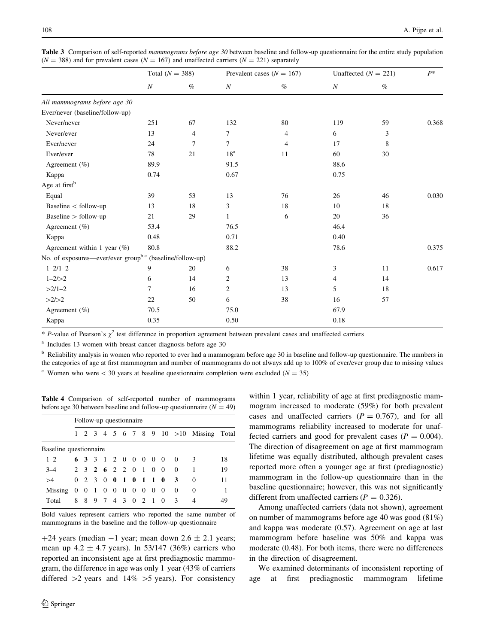<span id="page-5-0"></span>Table 3 Comparison of self-reported mammograms before age 30 between baseline and follow-up questionnaire for the entire study population  $(N = 388)$  and for prevalent cases  $(N = 167)$  and unaffected carriers  $(N = 221)$  separately

|                                                                      | Total $(N = 388)$ |      |                 | Prevalent cases ( $N = 167$ ) | Unaffected $(N = 221)$ |      | $P^*$ |
|----------------------------------------------------------------------|-------------------|------|-----------------|-------------------------------|------------------------|------|-------|
|                                                                      | $\cal N$          | $\%$ | $\cal N$        | $\%$                          | $\cal N$               | $\%$ |       |
| All mammograms before age 30                                         |                   |      |                 |                               |                        |      |       |
| Ever/never (baseline/follow-up)                                      |                   |      |                 |                               |                        |      |       |
| Never/never                                                          | 251               | 67   | 132             | 80                            | 119                    | 59   | 0.368 |
| Never/ever                                                           | 13                | 4    | $\tau$          | 4                             | 6                      | 3    |       |
| Ever/never                                                           | 24                | 7    | $\tau$          | 4                             | 17                     | 8    |       |
| Ever/ever                                                            | 78                | 21   | 18 <sup>a</sup> | 11                            | 60                     | 30   |       |
| Agreement $(\%)$                                                     | 89.9              |      | 91.5            |                               | 88.6                   |      |       |
| Kappa                                                                | 0.74              |      | 0.67            |                               | 0.75                   |      |       |
| Age at first <sup>b</sup>                                            |                   |      |                 |                               |                        |      |       |
| Equal                                                                | 39                | 53   | 13              | 76                            | 26                     | 46   | 0.030 |
| Baseline $<$ follow-up                                               | 13                | 18   | 3               | 18                            | 10                     | 18   |       |
| Baseline $>$ follow-up                                               | 21                | 29   | $\mathbf{1}$    | 6                             | 20                     | 36   |       |
| Agreement $(\% )$                                                    | 53.4              |      | 76.5            |                               | 46.4                   |      |       |
| Kappa                                                                | 0.48              |      | 0.71            |                               | 0.40                   |      |       |
| Agreement within 1 year $(\%)$                                       | 80.8              |      | 88.2            |                               | 78.6                   |      | 0.375 |
| No. of exposures—ever/ever group <sup>b,c</sup> (baseline/follow-up) |                   |      |                 |                               |                        |      |       |
| $1 - 2/1 - 2$                                                        | 9                 | 20   | 6               | 38                            | 3                      | 11   | 0.617 |
| $1 - 2/ > 2$                                                         | 6                 | 14   | 2               | 13                            | 4                      | 14   |       |
| $>2/1-2$                                                             | $\overline{7}$    | 16   | $\overline{c}$  | 13                            | 5                      | 18   |       |
| >2/>2                                                                | 22                | 50   | 6               | 38                            | 16                     | 57   |       |
| Agreement $(\% )$                                                    | 70.5              |      | 75.0            |                               | 67.9                   |      |       |
| Kappa                                                                | 0.35              |      | 0.50            |                               | 0.18                   |      |       |

 $*$  P-value of Pearson's  $\chi^2$  test difference in proportion agreement between prevalent cases and unaffected carriers

<sup>a</sup> Includes 13 women with breast cancer diagnosis before age 30

 $<sup>b</sup>$  Reliability analysis in women who reported to ever had a mammogram before age 30 in baseline and follow-up questionnaire. The numbers in</sup> the categories of age at first mammogram and number of mammograms do not always add up to 100% of ever/ever group due to missing values <sup>c</sup> Women who were  $\lt$  30 years at baseline questionnaire completion were excluded ( $N = 35$ )

Table 4 Comparison of self-reported number of mammograms before age 30 between baseline and follow-up questionnaire ( $N = 49$ )

|                                             | Follow-up questionnaire |  |  |                   |  |  |  |  |  |                       |                          |                                                              |    |
|---------------------------------------------|-------------------------|--|--|-------------------|--|--|--|--|--|-----------------------|--------------------------|--------------------------------------------------------------|----|
|                                             |                         |  |  |                   |  |  |  |  |  |                       |                          | $1 \t2 \t3 \t4 \t5 \t6 \t7 \t8 \t9 \t10 \t>10$ Missing Total |    |
| Baseline questionnaire                      |                         |  |  |                   |  |  |  |  |  |                       |                          |                                                              |    |
| $1 - 2$                                     |                         |  |  |                   |  |  |  |  |  | 6 3 3 1 2 0 0 0 0 0 0 | $\overline{\mathcal{E}}$ |                                                              | 18 |
| $3 - 4$                                     |                         |  |  |                   |  |  |  |  |  | 2 3 2 6 2 2 0 1 0 0 0 |                          |                                                              | 19 |
| >4                                          |                         |  |  |                   |  |  |  |  |  | 0 2 3 0 0 1 0 1 1 0 3 |                          | $\Omega$                                                     | 11 |
| Missing $0 \t0 \t1 \t0 \t0 \t0 \t0 \t0 \t0$ |                         |  |  |                   |  |  |  |  |  |                       | $\Omega$                 | $\Omega$                                                     |    |
| Total                                       |                         |  |  | 8 8 9 7 4 3 0 2 1 |  |  |  |  |  | $\overline{0}$        | $\mathcal{R}$            | 4                                                            | 49 |

Bold values represent carriers who reported the same number of mammograms in the baseline and the follow-up questionnaire

+24 years (median  $-1$  year; mean down 2.6  $\pm$  2.1 years; mean up  $4.2 \pm 4.7$  years). In 53/147 (36%) carriers who reported an inconsistent age at first prediagnostic mammogram, the difference in age was only 1 year (43% of carriers differed  $>2$  years and  $14\% > 5$  years). For consistency

within 1 year, reliability of age at first prediagnostic mammogram increased to moderate (59%) for both prevalent cases and unaffected carriers  $(P = 0.767)$ , and for all mammograms reliability increased to moderate for unaffected carriers and good for prevalent cases ( $P = 0.004$ ). The direction of disagreement on age at first mammogram lifetime was equally distributed, although prevalent cases reported more often a younger age at first (prediagnostic) mammogram in the follow-up questionnaire than in the baseline questionnaire; however, this was not significantly different from unaffected carriers ( $P = 0.326$ ).

Among unaffected carriers (data not shown), agreement on number of mammograms before age 40 was good (81%) and kappa was moderate (0.57). Agreement on age at last mammogram before baseline was 50% and kappa was moderate (0.48). For both items, there were no differences in the direction of disagreement.

We examined determinants of inconsistent reporting of age at first prediagnostic mammogram lifetime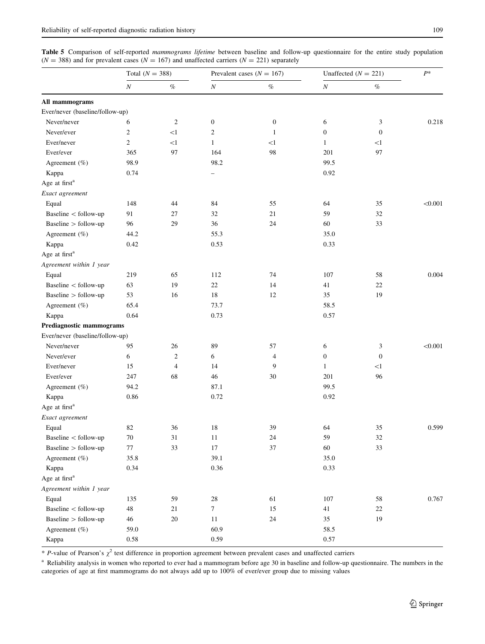<span id="page-6-0"></span>Table 5 Comparison of self-reported mammograms lifetime between baseline and follow-up questionnaire for the entire study population  $(N = 388)$  and for prevalent cases  $(N = 167)$  and unaffected carriers  $(N = 221)$  separately

|                                 | Total $(N = 388)$ |                |                          | Prevalent cases ( $N = 167$ ) | Unaffected $(N = 221)$ | $P^*$            |         |
|---------------------------------|-------------------|----------------|--------------------------|-------------------------------|------------------------|------------------|---------|
|                                 | $\cal N$          | $\%$           | $\cal N$                 | $\%$                          | $\cal N$               | $\%$             |         |
| All mammograms                  |                   |                |                          |                               |                        |                  |         |
| Ever/never (baseline/follow-up) |                   |                |                          |                               |                        |                  |         |
| Never/never                     | 6                 | 2              | $\boldsymbol{0}$         | $\boldsymbol{0}$              | 6                      | 3                | 0.218   |
| Never/ever                      | 2                 | <1             | $\overline{c}$           | 1                             | $\boldsymbol{0}$       | $\mathbf{0}$     |         |
| Ever/never                      | $\overline{c}$    | <1             | $\mathbf{1}$             | $<$ l                         | $\mathbf{1}$           | $\leq$ 1         |         |
| Ever/ever                       | 365               | 97             | 164                      | 98                            | 201                    | 97               |         |
| Agreement $(\%)$                | 98.9              |                | 98.2                     |                               | 99.5                   |                  |         |
| Kappa                           | 0.74              |                | $\overline{\phantom{0}}$ |                               | 0.92                   |                  |         |
| Age at first <sup>a</sup>       |                   |                |                          |                               |                        |                  |         |
| Exact agreement                 |                   |                |                          |                               |                        |                  |         |
| Equal                           | 148               | 44             | 84                       | 55                            | 64                     | 35               | < 0.001 |
| Baseline < follow-up            | 91                | 27             | 32                       | 21                            | 59                     | 32               |         |
| Baseline > follow-up            | 96                | 29             | 36                       | 24                            | 60                     | 33               |         |
| Agreement (%)                   | 44.2              |                | 55.3                     |                               | 35.0                   |                  |         |
| Kappa                           | 0.42              |                | 0.53                     |                               | 0.33                   |                  |         |
| Age at first <sup>a</sup>       |                   |                |                          |                               |                        |                  |         |
| Agreement within 1 year         |                   |                |                          |                               |                        |                  |         |
| Equal                           | 219               | 65             | 112                      | 74                            | 107                    | 58               | 0.004   |
| Baseline < follow-up            | 63                | 19             | $22\,$                   | 14                            | 41                     | 22               |         |
| Baseline > follow-up            | 53                | 16             | 18                       | 12                            | 35                     | 19               |         |
| Agreement (%)                   | 65.4              |                | 73.7                     |                               | 58.5                   |                  |         |
| Kappa                           | 0.64              |                | 0.73                     |                               | 0.57                   |                  |         |
| Prediagnostic mammograms        |                   |                |                          |                               |                        |                  |         |
| Ever/never (baseline/follow-up) |                   |                |                          |                               |                        |                  |         |
| Never/never                     | 95                | 26             | 89                       | 57                            | 6                      | 3                | < 0.001 |
| Never/ever                      | 6                 | $\overline{2}$ | 6                        | $\overline{4}$                | $\boldsymbol{0}$       | $\boldsymbol{0}$ |         |
| Ever/never                      | 15                | $\overline{4}$ | 14                       | 9                             | $\mathbf{1}$           | <1               |         |
| Ever/ever                       | 247               | 68             | 46                       | 30                            | 201                    | 96               |         |
| Agreement (%)                   | 94.2              |                | 87.1                     |                               | 99.5                   |                  |         |
| Kappa                           | 0.86              |                | 0.72                     |                               | 0.92                   |                  |         |
| Age at first <sup>a</sup>       |                   |                |                          |                               |                        |                  |         |
| Exact agreement                 |                   |                |                          |                               |                        |                  |         |
| Equal                           | 82                | 36             | 18                       | 39                            | 64                     | 35               | 0.599   |
| Baseline < follow-up            | 70                | 31             | 11                       | 24                            | 59                     | $32\,$           |         |
| Baseline > follow-up            | $77\,$            | 33             | $17\,$                   | 37                            | $60\,$                 | 33               |         |
| Agreement (%)                   | 35.8              |                | 39.1                     |                               | 35.0                   |                  |         |
| Kappa                           | 0.34              |                | 0.36                     |                               | 0.33                   |                  |         |
| Age at first <sup>a</sup>       |                   |                |                          |                               |                        |                  |         |
| Agreement within 1 year         |                   |                |                          |                               |                        |                  |         |
| Equal                           | 135               | 59             | 28                       | 61                            | 107                    | 58               | 0.767   |
| Baseline < follow-up            | $48\,$            | 21             | $\boldsymbol{7}$         | 15                            | 41                     | 22               |         |
| Baseline > follow-up            | $46\,$            | $20\,$         | $11\,$                   | 24                            | 35                     | 19               |         |
| Agreement (%)                   | 59.0              |                | 60.9                     |                               | 58.5                   |                  |         |
| Kappa                           | $0.58\,$          |                | 0.59                     |                               | 0.57                   |                  |         |

\* P-value of Pearson's  $\chi^2$  test difference in proportion agreement between prevalent cases and unaffected carriers

<sup>a</sup> Reliability analysis in women who reported to ever had a mammogram before age 30 in baseline and follow-up questionnaire. The numbers in the categories of age at first mammograms do not always add up to 100% of ever/ever group due to missing values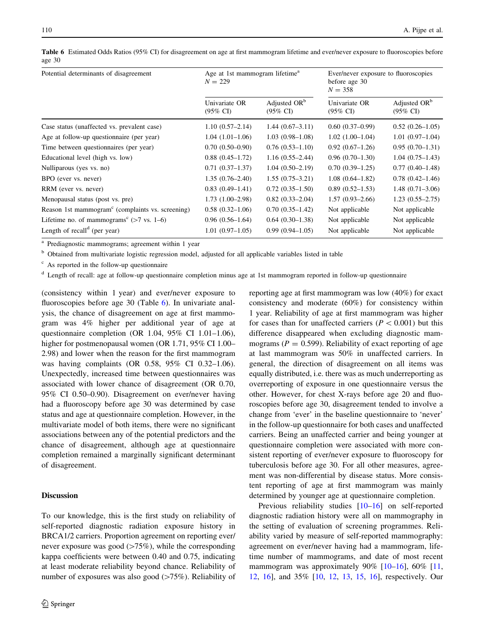| Potential determinants of disagreement                       | Age at 1st mammogram lifetime <sup>a</sup><br>$N = 229$ |                                                 | Ever/never exposure to fluoroscopies<br>before age 30<br>$N = 358$ |                                                 |  |
|--------------------------------------------------------------|---------------------------------------------------------|-------------------------------------------------|--------------------------------------------------------------------|-------------------------------------------------|--|
|                                                              | Univariate OR<br>$(95\% \text{ CI})$                    | Adjusted OR <sup>b</sup><br>$(95\% \text{ CI})$ | Univariate OR<br>$(95\% \text{ CI})$                               | Adjusted OR <sup>b</sup><br>$(95\% \text{ CI})$ |  |
| Case status (unaffected vs. prevalent case)                  | $1.10(0.57-2.14)$                                       | $1.44(0.67-3.11)$                               | $0.60(0.37-0.99)$                                                  | $0.52(0.26-1.05)$                               |  |
| Age at follow-up questionnaire (per year)                    | $1.04(1.01-1.06)$                                       | $1.03(0.98-1.08)$                               | $1.02(1.00-1.04)$                                                  | $1.01(0.97-1.04)$                               |  |
| Time between questionnaires (per year)                       | $0.70(0.50-0.90)$                                       | $0.76(0.53-1.10)$                               | $0.92(0.67-1.26)$                                                  | $0.95(0.70-1.31)$                               |  |
| Educational level (high vs. low)                             | $0.88(0.45 - 1.72)$                                     | $1.16(0.55-2.44)$                               | $0.96(0.70-1.30)$                                                  | $1.04(0.75-1.43)$                               |  |
| Nulliparous (yes vs. no)                                     | $0.71(0.37-1.37)$                                       | $1.04(0.50-2.19)$                               | $0.70(0.39-1.25)$                                                  | $0.77(0.40-1.48)$                               |  |
| BPO (ever vs. never)                                         | $1.35(0.76-2.40)$                                       | $1.55(0.75-3.21)$                               | $1.08(0.64 - 1.82)$                                                | $0.78(0.42 - 1.46)$                             |  |
| RRM (ever vs. never)                                         | $0.83(0.49-1.41)$                                       | $0.72(0.35-1.50)$                               | $0.89(0.52 - 1.53)$                                                | $1.48(0.71-3.06)$                               |  |
| Menopausal status (post vs. pre)                             | $1.73(1.00-2.98)$                                       | $0.82(0.33-2.04)$                               | $1.57(0.93-2.66)$                                                  | $1.23(0.55-2.75)$                               |  |
| Reason 1st mammogram <sup>c</sup> (complaints vs. screening) | $0.58(0.32-1.06)$                                       | $0.70(0.35-1.42)$                               | Not applicable                                                     | Not applicable                                  |  |
| Lifetime no. of mammograms <sup>c</sup> ( $>7$ vs. 1–6)      | $0.96(0.56-1.64)$                                       | $0.64(0.30-1.38)$                               | Not applicable                                                     | Not applicable                                  |  |
| Length of recall <sup>d</sup> (per year)                     | $1.01(0.97-1.05)$                                       | $0.99(0.94 - 1.05)$                             | Not applicable                                                     | Not applicable                                  |  |

Table 6 Estimated Odds Ratios (95% CI) for disagreement on age at first mammogram lifetime and ever/never exposure to fluoroscopies before age 30

<sup>a</sup> Prediagnostic mammograms; agreement within 1 year

<sup>b</sup> Obtained from multivariate logistic regression model, adjusted for all applicable variables listed in table

<sup>c</sup> As reported in the follow-up questionnaire

<sup>d</sup> Length of recall: age at follow-up questionnaire completion minus age at 1st mammogram reported in follow-up questionnaire

(consistency within 1 year) and ever/never exposure to fluoroscopies before age 30 (Table 6). In univariate analysis, the chance of disagreement on age at first mammogram was 4% higher per additional year of age at questionnaire completion (OR 1.04, 95% CI 1.01–1.06), higher for postmenopausal women (OR 1.71, 95% CI 1.00– 2.98) and lower when the reason for the first mammogram was having complaints (OR 0.58, 95% CI 0.32–1.06). Unexpectedly, increased time between questionnaires was associated with lower chance of disagreement (OR 0.70, 95% CI 0.50–0.90). Disagreement on ever/never having had a fluoroscopy before age 30 was determined by case status and age at questionnaire completion. However, in the multivariate model of both items, there were no significant associations between any of the potential predictors and the chance of disagreement, although age at questionnaire completion remained a marginally significant determinant of disagreement.

## **Discussion**

To our knowledge, this is the first study on reliability of self-reported diagnostic radiation exposure history in BRCA1/2 carriers. Proportion agreement on reporting ever/ never exposure was good  $(>=75\%)$ , while the corresponding kappa coefficients were between 0.40 and 0.75, indicating at least moderate reliability beyond chance. Reliability of number of exposures was also good  $(>75%)$ . Reliability of reporting age at first mammogram was low (40%) for exact consistency and moderate (60%) for consistency within 1 year. Reliability of age at first mammogram was higher for cases than for unaffected carriers ( $P < 0.001$ ) but this difference disappeared when excluding diagnostic mammograms ( $P = 0.599$ ). Reliability of exact reporting of age at last mammogram was 50% in unaffected carriers. In general, the direction of disagreement on all items was equally distributed, i.e. there was as much underreporting as overreporting of exposure in one questionnaire versus the other. However, for chest X-rays before age 20 and fluoroscopies before age 30, disagreement tended to involve a change from 'ever' in the baseline questionnaire to 'never' in the follow-up questionnaire for both cases and unaffected carriers. Being an unaffected carrier and being younger at questionnaire completion were associated with more consistent reporting of ever/never exposure to fluoroscopy for tuberculosis before age 30. For all other measures, agreement was non-differential by disease status. More consistent reporting of age at first mammogram was mainly determined by younger age at questionnaire completion.

Previous reliability studies [[10–](#page-9-0)[16\]](#page-10-0) on self-reported diagnostic radiation history were all on mammography in the setting of evaluation of screening programmes. Reliability varied by measure of self-reported mammography: agreement on ever/never having had a mammogram, lifetime number of mammograms, and date of most recent mammogram was approximately  $90\%$  [\[10](#page-9-0)[–16](#page-10-0)], 60% [[11,](#page-9-0) [12](#page-10-0), [16\]](#page-10-0), and 35% [\[10](#page-9-0), [12,](#page-10-0) [13](#page-10-0), [15](#page-10-0), [16\]](#page-10-0), respectively. Our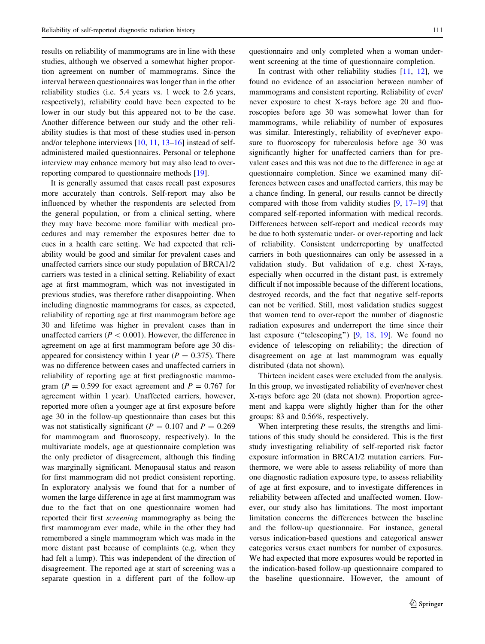results on reliability of mammograms are in line with these studies, although we observed a somewhat higher proportion agreement on number of mammograms. Since the interval between questionnaires was longer than in the other reliability studies (i.e. 5.4 years vs. 1 week to 2.6 years, respectively), reliability could have been expected to be lower in our study but this appeared not to be the case. Another difference between our study and the other reliability studies is that most of these studies used in-person and/or telephone interviews [\[10](#page-9-0), [11](#page-9-0), [13–16\]](#page-10-0) instead of selfadministered mailed questionnaires. Personal or telephone interview may enhance memory but may also lead to overreporting compared to questionnaire methods [\[19](#page-10-0)].

It is generally assumed that cases recall past exposures more accurately than controls. Self-report may also be influenced by whether the respondents are selected from the general population, or from a clinical setting, where they may have become more familiar with medical procedures and may remember the exposures better due to cues in a health care setting. We had expected that reliability would be good and similar for prevalent cases and unaffected carriers since our study population of BRCA1/2 carriers was tested in a clinical setting. Reliability of exact age at first mammogram, which was not investigated in previous studies, was therefore rather disappointing. When including diagnostic mammograms for cases, as expected, reliability of reporting age at first mammogram before age 30 and lifetime was higher in prevalent cases than in unaffected carriers ( $P < 0.001$ ). However, the difference in agreement on age at first mammogram before age 30 disappeared for consistency within 1 year ( $P = 0.375$ ). There was no difference between cases and unaffected carriers in reliability of reporting age at first prediagnostic mammogram ( $P = 0.599$  for exact agreement and  $P = 0.767$  for agreement within 1 year). Unaffected carriers, however, reported more often a younger age at first exposure before age 30 in the follow-up questionnaire than cases but this was not statistically significant ( $P = 0.107$  and  $P = 0.269$ for mammogram and fluoroscopy, respectively). In the multivariate models, age at questionnaire completion was the only predictor of disagreement, although this finding was marginally significant. Menopausal status and reason for first mammogram did not predict consistent reporting. In exploratory analysis we found that for a number of women the large difference in age at first mammogram was due to the fact that on one questionnaire women had reported their first screening mammography as being the first mammogram ever made, while in the other they had remembered a single mammogram which was made in the more distant past because of complaints (e.g. when they had felt a lump). This was independent of the direction of disagreement. The reported age at start of screening was a separate question in a different part of the follow-up questionnaire and only completed when a woman underwent screening at the time of questionnaire completion.

In contrast with other reliability studies  $[11, 12]$  $[11, 12]$  $[11, 12]$  $[11, 12]$ , we found no evidence of an association between number of mammograms and consistent reporting. Reliability of ever/ never exposure to chest X-rays before age 20 and fluoroscopies before age 30 was somewhat lower than for mammograms, while reliability of number of exposures was similar. Interestingly, reliability of ever/never exposure to fluoroscopy for tuberculosis before age 30 was significantly higher for unaffected carriers than for prevalent cases and this was not due to the difference in age at questionnaire completion. Since we examined many differences between cases and unaffected carriers, this may be a chance finding. In general, our results cannot be directly compared with those from validity studies [\[9](#page-9-0), [17–19](#page-10-0)] that compared self-reported information with medical records. Differences between self-report and medical records may be due to both systematic under- or over-reporting and lack of reliability. Consistent underreporting by unaffected carriers in both questionnaires can only be assessed in a validation study. But validation of e.g. chest X-rays, especially when occurred in the distant past, is extremely difficult if not impossible because of the different locations, destroyed records, and the fact that negative self-reports can not be verified. Still, most validation studies suggest that women tend to over-report the number of diagnostic radiation exposures and underreport the time since their last exposure ("telescoping") [\[9](#page-9-0), [18](#page-10-0), [19\]](#page-10-0). We found no evidence of telescoping on reliability; the direction of disagreement on age at last mammogram was equally distributed (data not shown).

Thirteen incident cases were excluded from the analysis. In this group, we investigated reliability of ever/never chest X-rays before age 20 (data not shown). Proportion agreement and kappa were slightly higher than for the other groups: 83 and 0.56%, respectively.

When interpreting these results, the strengths and limitations of this study should be considered. This is the first study investigating reliability of self-reported risk factor exposure information in BRCA1/2 mutation carriers. Furthermore, we were able to assess reliability of more than one diagnostic radiation exposure type, to assess reliability of age at first exposure, and to investigate differences in reliability between affected and unaffected women. However, our study also has limitations. The most important limitation concerns the differences between the baseline and the follow-up questionnaire. For instance, general versus indication-based questions and categorical answer categories versus exact numbers for number of exposures. We had expected that more exposures would be reported in the indication-based follow-up questionnaire compared to the baseline questionnaire. However, the amount of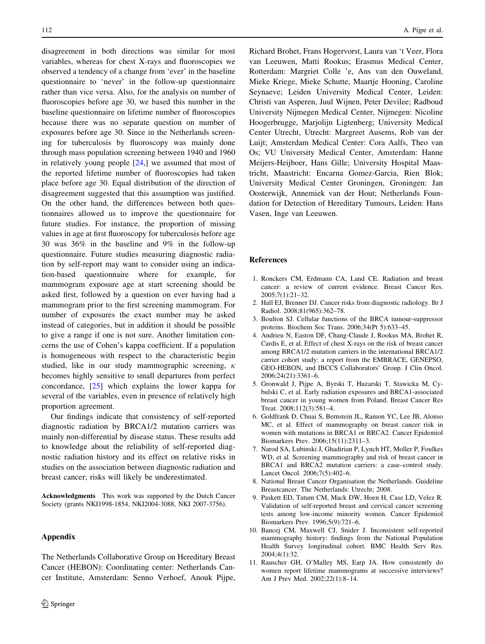<span id="page-9-0"></span>disagreement in both directions was similar for most variables, whereas for chest X-rays and fluoroscopies we observed a tendency of a change from 'ever' in the baseline questionnaire to 'never' in the follow-up questionnaire rather than vice versa. Also, for the analysis on number of fluoroscopies before age 30, we based this number in the baseline questionnaire on lifetime number of fluoroscopies because there was no separate question on number of exposures before age 30. Since in the Netherlands screening for tuberculosis by fluoroscopy was mainly done through mass population screening between 1940 and 1960 in relatively young people  $[24]$  $[24]$ , we assumed that most of the reported lifetime number of fluoroscopies had taken place before age 30. Equal distribution of the direction of disagreement suggested that this assumption was justified. On the other hand, the differences between both questionnaires allowed us to improve the questionnaire for future studies. For instance, the proportion of missing values in age at first fluoroscopy for tuberculosis before age 30 was 36% in the baseline and 9% in the follow-up questionnaire. Future studies measuring diagnostic radiation by self-report may want to consider using an indication-based questionnaire where for example, for mammogram exposure age at start screening should be asked first, followed by a question on ever having had a mammogram prior to the first screening mammogram. For number of exposures the exact number may be asked instead of categories, but in addition it should be possible to give a range if one is not sure. Another limitation concerns the use of Cohen's kappa coefficient. If a population is homogeneous with respect to the characteristic begin studied, like in our study mammographic screening,  $\kappa$ becomes highly sensitive to small departures from perfect concordance, [\[25](#page-10-0)] which explains the lower kappa for several of the variables, even in presence of relatively high proportion agreement.

Our findings indicate that consistency of self-reported diagnostic radiation by BRCA1/2 mutation carriers was mainly non-differential by disease status. These results add to knowledge about the reliability of self-reported diagnostic radiation history and its effect on relative risks in studies on the association between diagnostic radiation and breast cancer; risks will likely be underestimated.

Acknowledgments This work was supported by the Dutch Cancer Society (grants NKI1998-1854, NKI2004-3088, NKI 2007-3756).

## Appendix

The Netherlands Collaborative Group on Hereditary Breast Cancer (HEBON): Coordinating center: Netherlands Cancer Institute, Amsterdam: Senno Verhoef, Anouk Pijpe,

Richard Brohet, Frans Hogervorst, Laura van 't Veer, Flora van Leeuwen, Matti Rookus; Erasmus Medical Center, Rotterdam: Margriet Colle 'e, Ans van den Ouweland, Mieke Kriege, Mieke Schutte, Maartje Hooning, Caroline Seynaeve; Leiden University Medical Center, Leiden: Christi van Asperen, Juul Wijnen, Peter Devilee; Radboud University Nijmegen Medical Center, Nijmegen: Nicoline Hoogerbrugge, Marjolijn Ligtenberg; University Medical Center Utrecht, Utrecht: Margreet Ausems, Rob van der Luijt; Amsterdam Medical Center: Cora Aalfs, Theo van Os; VU University Medical Center, Amsterdam: Hanne Meijers-Heijboer, Hans Gille; University Hospital Maastricht, Maastricht: Encarna Gomez-Garcia, Rien Blok; University Medical Center Groningen, Groningen: Jan Oosterwijk, Annemiek van der Hout; Netherlands Foundation for Detection of Hereditary Tumours, Leiden: Hans Vasen, Inge van Leeuwen.

## References

- 1. Ronckers CM, Erdmann CA, Land CE. Radiation and breast cancer: a review of current evidence. Breast Cancer Res. 2005;7(1):21–32.
- 2. Hall EJ, Brenner DJ. Cancer risks from diagnostic radiology. Br J Radiol. 2008;81(965):362–78.
- 3. Boulton SJ. Cellular functions of the BRCA tumour-suppressor proteins. Biochem Soc Trans. 2006;34(Pt 5):633–45.
- 4. Andrieu N, Easton DF, Chang-Claude J, Rookus MA, Brohet R, Cardis E, et al. Effect of chest X-rays on the risk of breast cancer among BRCA1/2 mutation carriers in the international BRCA1/2 carrier cohort study: a report from the EMBRACE, GENEPSO, GEO-HEBON, and IBCCS Collaborators' Group. J Clin Oncol. 2006;24(21):3361–6.
- 5. Gronwald J, Pijpe A, Byrski T, Huzarski T, Stawicka M, Cybulski C, et al. Early radiation exposures and BRCA1-associated breast cancer in young women from Poland. Breast Cancer Res Treat. 2008;112(3):581–4.
- 6. Goldfrank D, Chuai S, Bernstein JL, Ramon YC, Lee JB, Alonso MC, et al. Effect of mammography on breast cancer risk in women with mutations in BRCA1 or BRCA2. Cancer Epidemiol Biomarkers Prev. 2006;15(11):2311–3.
- 7. Narod SA, Lubinski J, Ghadirian P, Lynch HT, Moller P, Foulkes WD, et al. Screening mammography and risk of breast cancer in BRCA1 and BRCA2 mutation carriers: a case–control study. Lancet Oncol. 2006;7(5):402–6.
- 8. National Breast Cancer Organisation the Netherlands. Guideline Breastcancer. The Netherlands: Utrecht; 2008.
- 9. Paskett ED, Tatum CM, Mack DW, Hoen H, Case LD, Velez R. Validation of self-reported breast and cervical cancer screening tests among low-income minority women. Cancer Epidemiol Biomarkers Prev. 1996;5(9):721–6.
- 10. Bancej CM, Maxwell CJ, Snider J. Inconsistent self-reported mammography history: findings from the National Population Health Survey longitudinal cohort. BMC Health Serv Res. 2004;4(1):32.
- 11. Rauscher GH, O'Malley MS, Earp JA. How consistently do women report lifetime mammograms at successive interviews? Am J Prev Med. 2002;22(1):8–14.